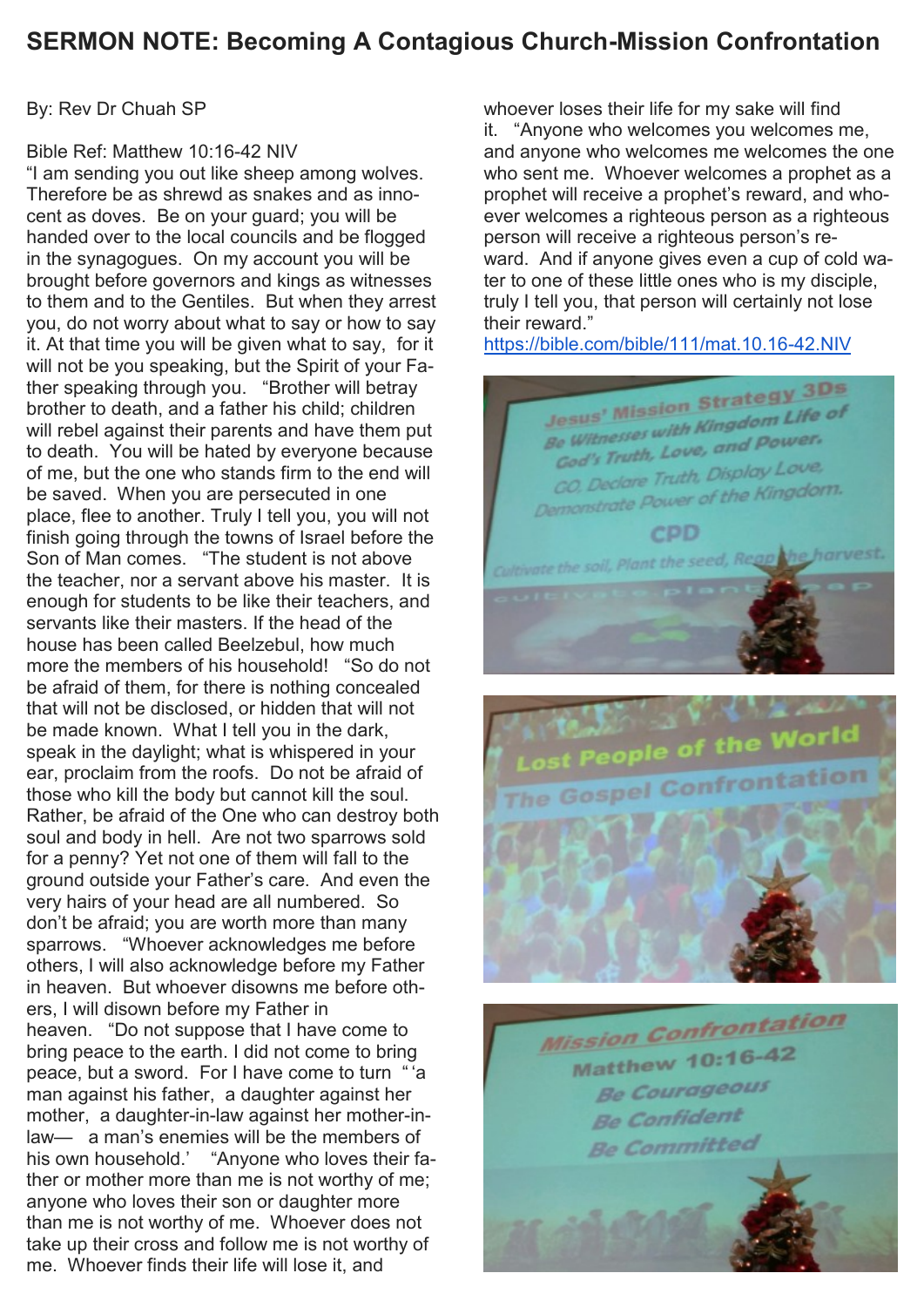# **SERMON NOTE: Becoming A Contagious Church-Mission Confrontation**

By: Rev Dr Chuah SP

### Bible Ref: Matthew 10:16-42 NIV

"I am sending you out like sheep among wolves. Therefore be as shrewd as snakes and as innocent as doves. Be on your guard; you will be handed over to the local councils and be flogged in the synagogues. On my account you will be brought before governors and kings as witnesses to them and to the Gentiles. But when they arrest you, do not worry about what to say or how to say it. At that time you will be given what to say, for it will not be you speaking, but the Spirit of your Father speaking through you. "Brother will betray brother to death, and a father his child; children will rebel against their parents and have them put to death. You will be hated by everyone because of me, but the one who stands firm to the end will be saved. When you are persecuted in one place, flee to another. Truly I tell you, you will not finish going through the towns of Israel before the Son of Man comes. "The student is not above the teacher, nor a servant above his master. It is enough for students to be like their teachers, and servants like their masters. If the head of the house has been called Beelzebul, how much more the members of his household! "So do not be afraid of them, for there is nothing concealed that will not be disclosed, or hidden that will not be made known. What I tell you in the dark, speak in the daylight; what is whispered in your ear, proclaim from the roofs. Do not be afraid of those who kill the body but cannot kill the soul. Rather, be afraid of the One who can destroy both soul and body in hell. Are not two sparrows sold for a penny? Yet not one of them will fall to the ground outside your Father's care. And even the very hairs of your head are all numbered. So don't be afraid; you are worth more than many sparrows. "Whoever acknowledges me before others, I will also acknowledge before my Father in heaven. But whoever disowns me before others, I will disown before my Father in heaven. "Do not suppose that I have come to bring peace to the earth. I did not come to bring peace, but a sword. For I have come to turn "'a man against his father, a daughter against her mother, a daughter-in-law against her mother-inlaw— a man's enemies will be the members of his own household.' "Anyone who loves their father or mother more than me is not worthy of me; anyone who loves their son or daughter more than me is not worthy of me. Whoever does not take up their cross and follow me is not worthy of me. Whoever finds their life will lose it, and

whoever loses their life for my sake will find it. "Anyone who welcomes you welcomes me, and anyone who welcomes me welcomes the one who sent me. Whoever welcomes a prophet as a prophet will receive a prophet's reward, and whoever welcomes a righteous person as a righteous person will receive a righteous person's reward. And if anyone gives even a cup of cold water to one of these little ones who is my disciple, truly I tell you, that person will certainly not lose their reward."

<https://bible.com/bible/111/mat.10.16-42.NIV>





**Mission Confrontation** Matthew 10:16-42 **Be Courageous Be Confident Be Committed**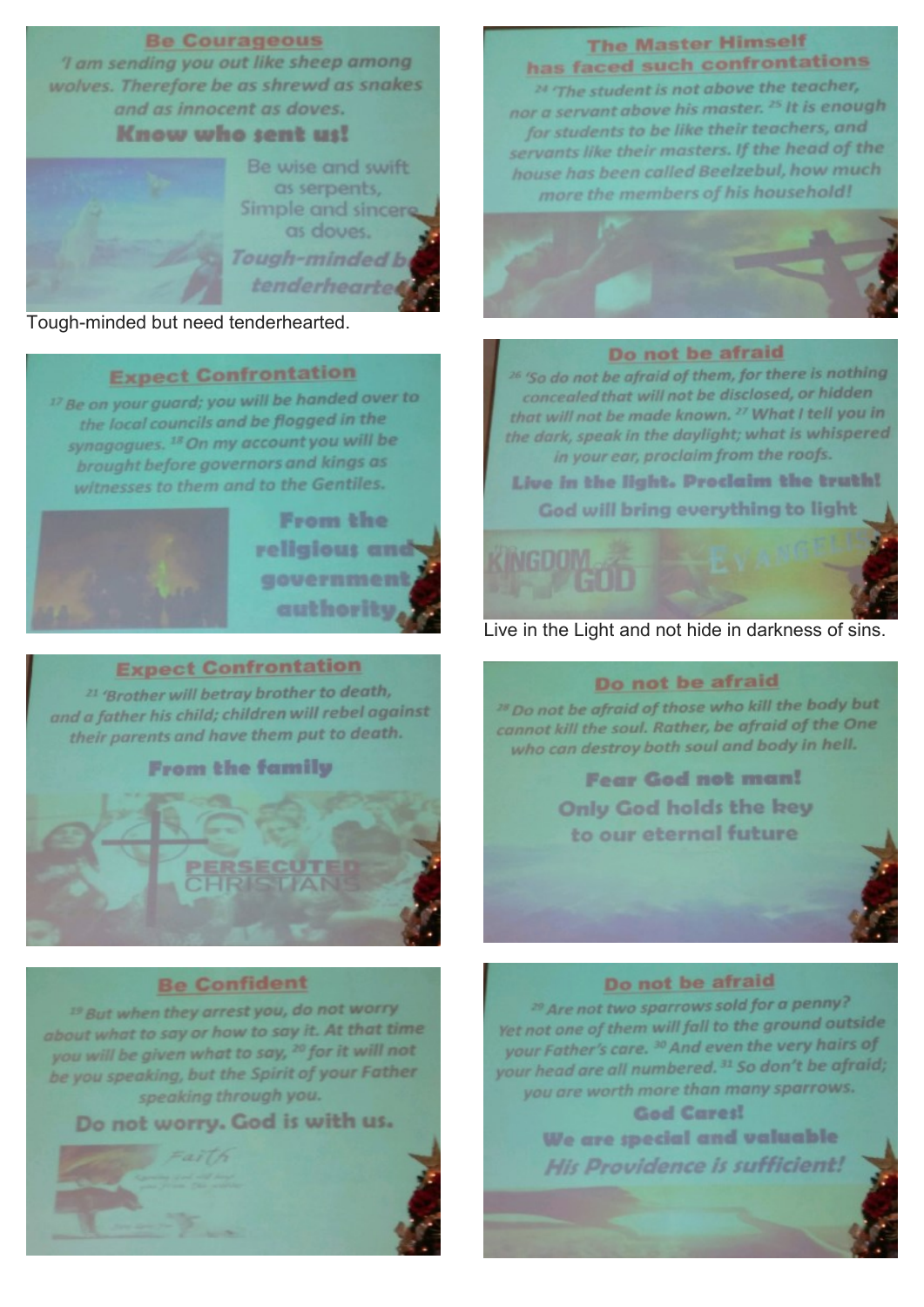### **Be Courageous**

'l am sending you out like sheep among wolves. Therefore be as shrewd as snakes and as innocent as doves.

Know who sent us!

Be wise and swift as serpents, Simple and sincer as doves. Tough-minded b tenderhearter

## Tough-minded but need tenderhearted.

# **Expect Confrontation**

<sup>17</sup> Be on your guard; you will be handed over to the local councils and be flogged in the synagogues.<sup>18</sup> On my account you will be brought before governors and kings as witnesses to them and to the Gentiles.



## **Expect Confrontation**

<sup>21</sup> 'Brother will betray brother to death, and a father his child; children will rebel against their parents and have them put to death.

**From the family** 

## **Be Confident**

<sup>19</sup> But when they arrest you, do not worry about what to say or how to say it. At that time you will be given what to say, <sup>20</sup> for it will not be you speaking, but the Spirit of your Father speaking through you.

Do not worry. God is with us.



# **The Master Himself** has faced such confrontations

<sup>24</sup> 'The student is not above the teacher, nor a servant above his master.<sup>25</sup> It is enough for students to be like their teachers, and servants like their masters. If the head of the house has been called Beelzebul, how much more the members of his household!



#### Do not be afraid

<sup>26</sup> 'So do not be afraid of them, for there is nothing concealed that will not be disclosed, or hidden that will not be made known. <sup>27</sup> What I tell you in the dark, speak in the daylight; what is whispered in your ear, proclaim from the roofs.

Live in the light. Proclaim the truth! God will bring everything to light

# Live in the Light and not hide in darkness of sins.

#### Do not be afraid

<sup>28</sup> Do not be afraid of those who kill the body but cannot kill the soul. Rather, be afraid of the One who can destroy both soul and body in hell.

> **Fear God not man! Only God holds the key** to our eternal future

# Do not be afraid

<sup>29</sup> Are not two sparrows sold for a penny? Yet not one of them will fall to the ground outside your Father's care. <sup>30</sup> And even the very hairs of your head are all numbered. 31 So don't be afraid; you are worth more than many sparrows.

**God Cares!** We are special and valuable His Providence is sufficient!